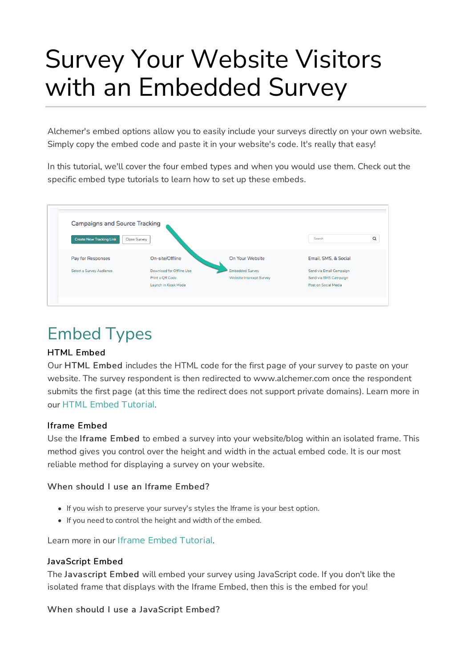# Survey Your Website Visitors with an Embedded Survey

Alchemer's embed options allow you to easily include your surveys directly on your own website. Simply copy the embed code and paste it in your website's code. It's really that easy!

In this tutorial, we'll cover the four embed types and when you would use them. Check out the specific embed type tutorials to learn how to set up these embeds.



## Embed Types

#### HTML Embed

Our HTML Embed includes the HTML code for the first page of your survey to paste on your website. The survey respondent is then redirected to www.alchemer.com once the respondent submits the first page (at this time the redirect does not support private domains). Learn more in our HTML Embed Tutorial.

#### Iframe Embed

Use the Iframe Embed to embed a survey into your website/blog within an isolated frame. This method gives you control over the height and width in the actual embed code. It is our most reliable method for displaying a survey on your website.

#### When should I use an Iframe Embed?

- If you wish to preserve your survey's styles the Iframe is your best option.
- If you need to control the height and width of the embed.

Learn more in our Iframe Embed Tutorial.

#### JavaScript Embed

The Javascript Embed will embed your survey using JavaScript code. If you don't like the isolated frame that displays with the Iframe Embed, then this is the embed for you!

#### When should I use a JavaScript Embed?